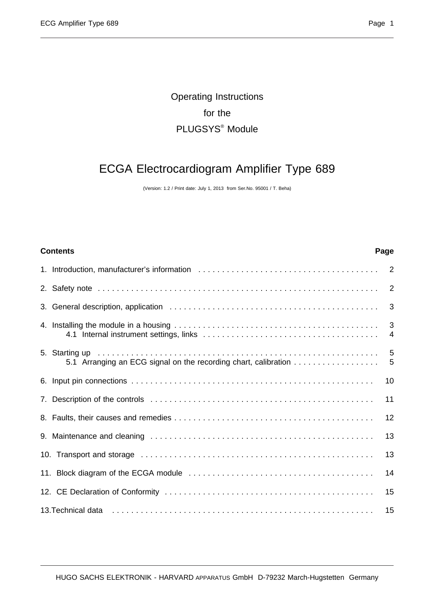## Operating Instructions for the PLUGSYS® Module

# ECGA Electrocardiogram Amplifier Type 689

(Version: 1.2 / Print date: July 1, 2013 from Ser.No. 95001 / T. Beha)

# **Contents Page** 1. Introduction, manufacturer's information ...................................... 2 2. Safety note ........................................................... 2 3. General description, application ............................................ 3 4. Installing the module in a housing ........................................... 3 4.1 Internal instrument settings, links ..................................... 4 5. Starting up ........................................................... 5 5.1 Arranging an ECG signal on the recording chart, calibration .................. 5 6. Input pin connections . . . . . . . . . . . . . . . . . . . . . . . . . . . . . . . . . . . . . . . . . . . . . . . . . . . 10 7. Description of the controls . . . . . . . . . . . . . . . . . . . . . . . . . . . . . . . . . . . . . . . . . . . . . . . 11 8. Faults, their causes and remedies . . . . . . . . . . . . . . . . . . . . . . . . . . . . . . . . . . . . . . . . . . 12 9. Maintenance and cleaning . . . . . . . . . . . . . . . . . . . . . . . . . . . . . . . . . . . . . . . . . . . . . . . 13 10. Transport and storage . . . . . . . . . . . . . . . . . . . . . . . . . . . . . . . . . . . . . . . . . . . . . . . . . 13 11. Block diagram of the ECGA module . . . . . . . . . . . . . . . . . . . . . . . . . . . . . . . . . . . . . . . 14 12. CE Declaration of Conformity . . . . . . . . . . . . . . . . . . . . . . . . . . . . . . . . . . . . . . . . . . . . 15 13.Technical data . . . . . . . . . . . . . . . . . . . . . . . . . . . . . . . . . . . . . . . . . . . . . . . . . . . . . . . 15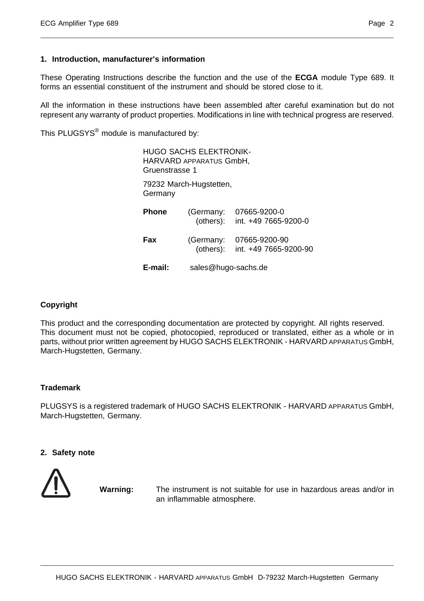#### **1. Introduction, manufacturer's information**

These Operating Instructions describe the function and the use of the **ECGA** module Type 689. It forms an essential constituent of the instrument and should be stored close to it.

All the information in these instructions have been assembled after careful examination but do not represent any warranty of product properties. Modifications in line with technical progress are reserved.

This PLUGSYS<sup>®</sup> module is manufactured by:

| <b>HUGO SACHS ELEKTRONIK-</b><br>HARVARD APPARATUS GmbH,<br>Gruenstrasse 1 |                        |                                        |  |  |
|----------------------------------------------------------------------------|------------------------|----------------------------------------|--|--|
| 79232 March-Hugstetten,<br>Germany                                         |                        |                                        |  |  |
| Phone                                                                      | (Germany:<br>(others): | 07665-9200-0<br>int. +49 7665-9200-0   |  |  |
| Fax                                                                        | (Germany:<br>(others): | 07665-9200-90<br>int. +49 7665-9200-90 |  |  |
| E-mail:                                                                    | sales@hugo-sachs.de    |                                        |  |  |

#### **Copyright**

This product and the corresponding documentation are protected by copyright. All rights reserved. This document must not be copied, photocopied, reproduced or translated, either as a whole or in parts, without prior written agreement by HUGO SACHS ELEKTRONIK - HARVARD APPARATUS GmbH, March-Hugstetten, Germany.

#### **Trademark**

PLUGSYS is a registered trademark of HUGO SACHS ELEKTRONIK - HARVARD APPARATUS GmbH, March-Hugstetten, Germany.

#### **2. Safety note**



**Warning:** The instrument is not suitable for use in hazardous areas and/or in an inflammable atmosphere.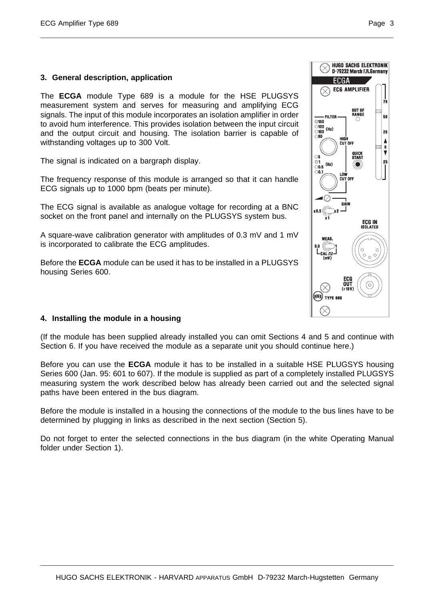#### **3. General description, application**

The **ECGA** module Type 689 is a module for the HSE PLUGSYS measurement system and serves for measuring and amplifying ECG signals. The input of this module incorporates an isolation amplifier in order to avoid hum interference. This provides isolation between the input circuit and the output circuit and housing. The isolation barrier is capable of withstanding voltages up to 300 Volt.

The signal is indicated on a bargraph display.

The frequency response of this module is arranged so that it can handle ECG signals up to 1000 bpm (beats per minute).

The ECG signal is available as analogue voltage for recording at a BNC socket on the front panel and internally on the PLUGSYS system bus.

A square-wave calibration generator with amplitudes of 0.3 mV and 1 mV is incorporated to calibrate the ECG amplitudes.

Before the **ECGA** module can be used it has to be installed in a PLUGSYS housing Series 600.



#### **4. Installing the module in a housing**

(If the module has been supplied already installed you can omit Sections 4 and 5 and continue with Section 6. If you have received the module as a separate unit you should continue here.)

Before you can use the **ECGA** module it has to be installed in a suitable HSE PLUGSYS housing Series 600 (Jan. 95: 601 to 607). If the module is supplied as part of a completely installed PLUGSYS measuring system the work described below has already been carried out and the selected signal paths have been entered in the bus diagram.

Before the module is installed in a housing the connections of the module to the bus lines have to be determined by plugging in links as described in the next section (Section 5).

Do not forget to enter the selected connections in the bus diagram (in the white Operating Manual folder under Section 1).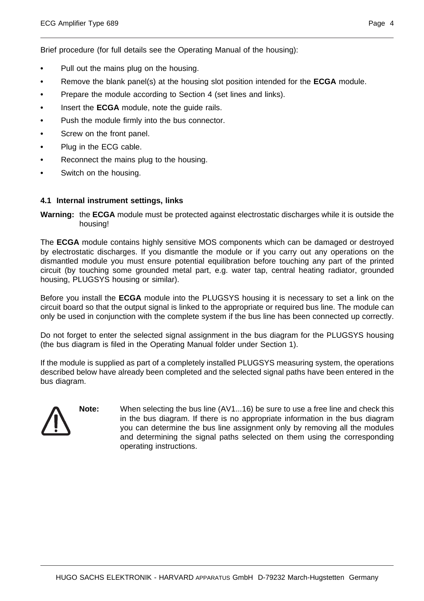Brief procedure (for full details see the Operating Manual of the housing):

- Pull out the mains plug on the housing.
- **•** Remove the blank panel(s) at the housing slot position intended for the **ECGA** module.
- **•** Prepare the module according to Section 4 (set lines and links).
- **•** Insert the **ECGA** module, note the guide rails.
- Push the module firmly into the bus connector.
- **•** Screw on the front panel.
- **•** Plug in the ECG cable.
- **•** Reconnect the mains plug to the housing.
- **•** Switch on the housing.

#### **4.1 Internal instrument settings, links**

**Warning:** the **ECGA** module must be protected against electrostatic discharges while it is outside the housing!

The **ECGA** module contains highly sensitive MOS components which can be damaged or destroyed by electrostatic discharges. If you dismantle the module or if you carry out any operations on the dismantled module you must ensure potential equilibration before touching any part of the printed circuit (by touching some grounded metal part, e.g. water tap, central heating radiator, grounded housing, PLUGSYS housing or similar).

Before you install the **ECGA** module into the PLUGSYS housing it is necessary to set a link on the circuit board so that the output signal is linked to the appropriate or required bus line. The module can only be used in conjunction with the complete system if the bus line has been connected up correctly.

Do not forget to enter the selected signal assignment in the bus diagram for the PLUGSYS housing (the bus diagram is filed in the Operating Manual folder under Section 1).

If the module is supplied as part of a completely installed PLUGSYS measuring system, the operations described below have already been completed and the selected signal paths have been entered in the bus diagram.

**Note:** When selecting the bus line (AV1...16) be sure to use a free line and check this in the bus diagram. If there is no appropriate information in the bus diagram you can determine the bus line assignment only by removing all the modules and determining the signal paths selected on them using the corresponding operating instructions.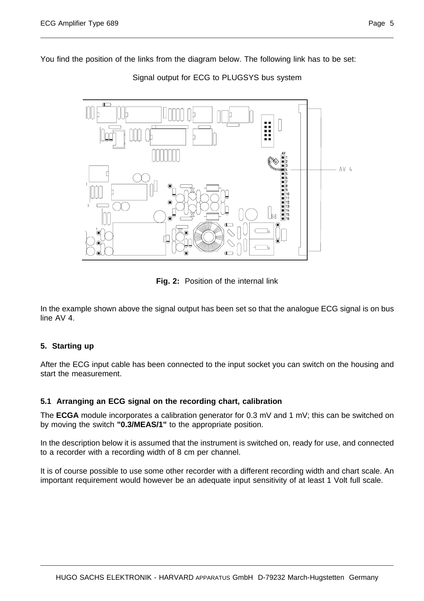

Signal output for ECG to PLUGSYS bus system

**Fig. 2:** Position of the internal link

In the example shown above the signal output has been set so that the analogue ECG signal is on bus line AV 4.

#### **5. Starting up**

After the ECG input cable has been connected to the input socket you can switch on the housing and start the measurement.

#### **5.1 Arranging an ECG signal on the recording chart, calibration**

The **ECGA** module incorporates a calibration generator for 0.3 mV and 1 mV; this can be switched on by moving the switch **"0.3/MEAS/1"** to the appropriate position.

In the description below it is assumed that the instrument is switched on, ready for use, and connected to a recorder with a recording width of 8 cm per channel.

It is of course possible to use some other recorder with a different recording width and chart scale. An important requirement would however be an adequate input sensitivity of at least 1 Volt full scale.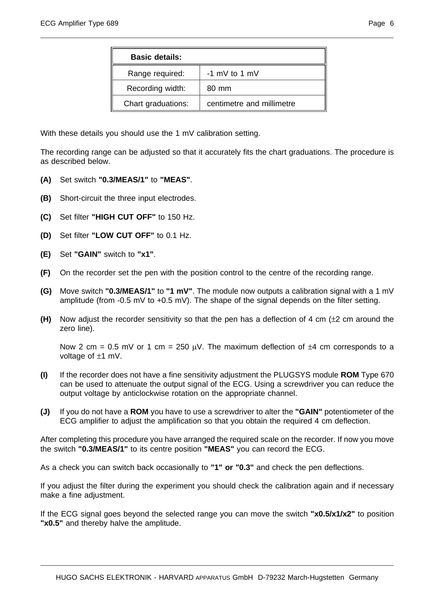| <b>Basic details:</b> |                           |  |
|-----------------------|---------------------------|--|
| Range required:       | $-1$ mV to 1 mV           |  |
| Recording width:      | 80 mm                     |  |
| Chart graduations:    | centimetre and millimetre |  |

With these details you should use the 1 mV calibration setting.

The recording range can be adjusted so that it accurately fits the chart graduations. The procedure is as described below.

- **(A)** Set switch **"0.3/MEAS/1"** to **"MEAS"**.
- **(B)** Short-circuit the three input electrodes.
- **(C)** Set filter **"HIGH CUT OFF"** to 150 Hz.
- **(D)** Set filter **"LOW CUT OFF"** to 0.1 Hz.
- **(E)** Set **"GAIN"** switch to **"x1"**.
- **(F)** On the recorder set the pen with the position control to the centre of the recording range.
- **(G)** Move switch **"0.3/MEAS/1"** to **"1 mV"**. The module now outputs a calibration signal with a 1 mV amplitude (from -0.5 mV to +0.5 mV). The shape of the signal depends on the filter setting.
- **(H)** Now adjust the recorder sensitivity so that the pen has a deflection of 4 cm (±2 cm around the zero line).

Now 2 cm = 0.5 mV or 1 cm = 250  $\mu$ V. The maximum deflection of  $\pm$ 4 cm corresponds to a voltage of ±1 mV.

- **(I)** If the recorder does not have a fine sensitivity adjustment the PLUGSYS module **ROM** Type 670 can be used to attenuate the output signal of the ECG. Using a screwdriver you can reduce the output voltage by anticlockwise rotation on the appropriate channel.
- **(J)** If you do not have a **ROM** you have to use a screwdriver to alter the **"GAIN"** potentiometer of the ECG amplifier to adjust the amplification so that you obtain the required 4 cm deflection.

After completing this procedure you have arranged the required scale on the recorder. If now you move the switch **"0.3/MEAS/1"** to its centre position **"MEAS"** you can record the ECG.

As a check you can switch back occasionally to **"1" or "0.3"** and check the pen deflections.

If you adjust the filter during the experiment you should check the calibration again and if necessary make a fine adjustment.

If the ECG signal goes beyond the selected range you can move the switch **"x0.5/x1/x2"** to position **"x0.5"** and thereby halve the amplitude.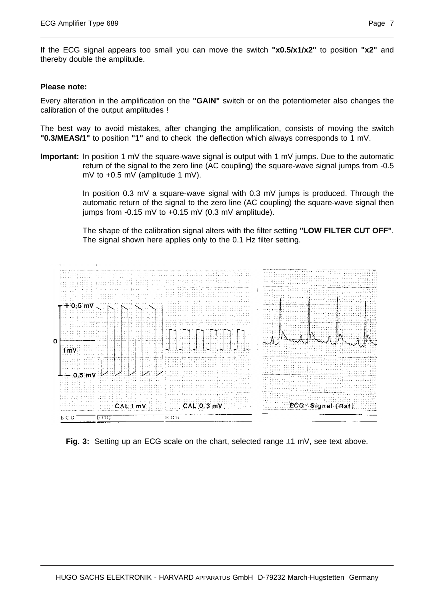If the ECG signal appears too small you can move the switch **"x0.5/x1/x2"** to position **"x2"** and thereby double the amplitude.

#### **Please note:**

Every alteration in the amplification on the **"GAIN"** switch or on the potentiometer also changes the calibration of the output amplitudes !

The best way to avoid mistakes, after changing the amplification, consists of moving the switch **"0.3/MEAS/1"** to position **"1"** and to check the deflection which always corresponds to 1 mV.

**Important:** In position 1 mV the square-wave signal is output with 1 mV jumps. Due to the automatic return of the signal to the zero line (AC coupling) the square-wave signal jumps from -0.5 mV to +0.5 mV (amplitude 1 mV).

> In position 0.3 mV a square-wave signal with 0.3 mV jumps is produced. Through the automatic return of the signal to the zero line (AC coupling) the square-wave signal then jumps from  $-0.15$  mV to  $+0.15$  mV (0.3 mV amplitude).

> The shape of the calibration signal alters with the filter setting **"LOW FILTER CUT OFF"**. The signal shown here applies only to the 0.1 Hz filter setting.



**Fig. 3:** Setting up an ECG scale on the chart, selected range  $\pm 1$  mV, see text above.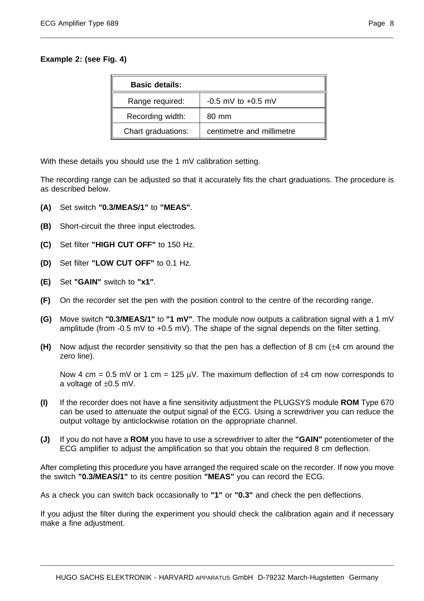#### **Example 2: (see Fig. 4)**

| <b>Basic details:</b> |                           |  |
|-----------------------|---------------------------|--|
| Range required:       | $-0.5$ mV to $+0.5$ mV    |  |
| Recording width:      | 80 mm                     |  |
| Chart graduations:    | centimetre and millimetre |  |

With these details you should use the 1 mV calibration setting.

The recording range can be adjusted so that it accurately fits the chart graduations. The procedure is as described below.

- **(A)** Set switch **"0.3/MEAS/1"** to **"MEAS"**.
- **(B)** Short-circuit the three input electrodes.
- **(C)** Set filter **"HIGH CUT OFF"** to 150 Hz.
- **(D)** Set filter **"LOW CUT OFF"** to 0.1 Hz.
- **(E)** Set **"GAIN"** switch to **"x1"**.
- **(F)** On the recorder set the pen with the position control to the centre of the recording range.
- **(G)** Move switch **"0.3/MEAS/1"** to **"1 mV"**. The module now outputs a calibration signal with a 1 mV amplitude (from -0.5 mV to +0.5 mV). The shape of the signal depends on the filter setting.
- **(H)** Now adjust the recorder sensitivity so that the pen has a deflection of 8 cm (±4 cm around the zero line).

Now 4 cm = 0.5 mV or 1 cm = 125  $\mu$ V. The maximum deflection of  $\pm 4$  cm now corresponds to a voltage of ±0.5 mV.

- **(I)** If the recorder does not have a fine sensitivity adjustment the PLUGSYS module **ROM** Type 670 can be used to attenuate the output signal of the ECG. Using a screwdriver you can reduce the output voltage by anticlockwise rotation on the appropriate channel.
- **(J)** If you do not have a **ROM** you have to use a screwdriver to alter the **"GAIN"** potentiometer of the ECG amplifier to adjust the amplification so that you obtain the required 8 cm deflection.

After completing this procedure you have arranged the required scale on the recorder. If now you move the switch **"0.3/MEAS/1"** to its centre position **"MEAS"** you can record the ECG.

As a check you can switch back occasionally to **"1"** or **"0.3"** and check the pen deflections.

If you adjust the filter during the experiment you should check the calibration again and if necessary make a fine adjustment.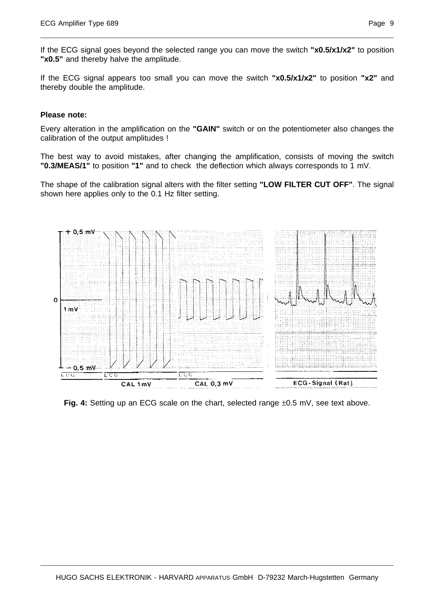If the ECG signal goes beyond the selected range you can move the switch **"x0.5/x1/x2"** to position **"x0.5"** and thereby halve the amplitude.

If the ECG signal appears too small you can move the switch **"x0.5/x1/x2"** to position **"x2"** and thereby double the amplitude.

#### **Please note:**

Every alteration in the amplification on the **"GAIN"** switch or on the potentiometer also changes the calibration of the output amplitudes !

The best way to avoid mistakes, after changing the amplification, consists of moving the switch **"0.3/MEAS/1"** to position **"1"** and to check the deflection which always corresponds to 1 mV.

The shape of the calibration signal alters with the filter setting **"LOW FILTER CUT OFF"**. The signal shown here applies only to the 0.1 Hz filter setting.



Fig. 4: Setting up an ECG scale on the chart, selected range  $\pm 0.5$  mV, see text above.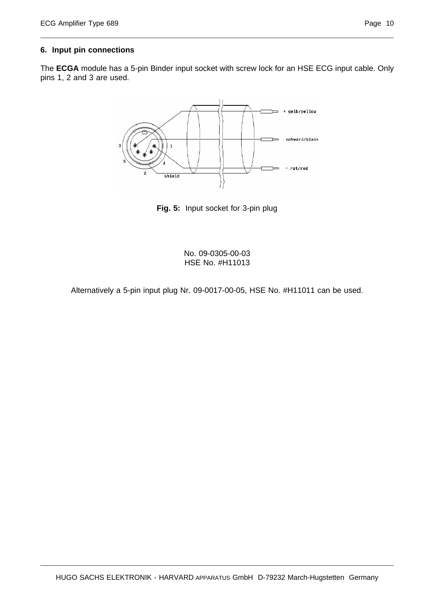#### **6. Input pin connections**

The **ECGA** module has a 5-pin Binder input socket with screw lock for an HSE ECG input cable. Only pins 1, 2 and 3 are used.



**Fig. 5:** Input socket for 3-pin plug

No. 09-0305-00-03 HSE No. #H11013

Alternatively a 5-pin input plug Nr. 09-0017-00-05, HSE No. #H11011 can be used.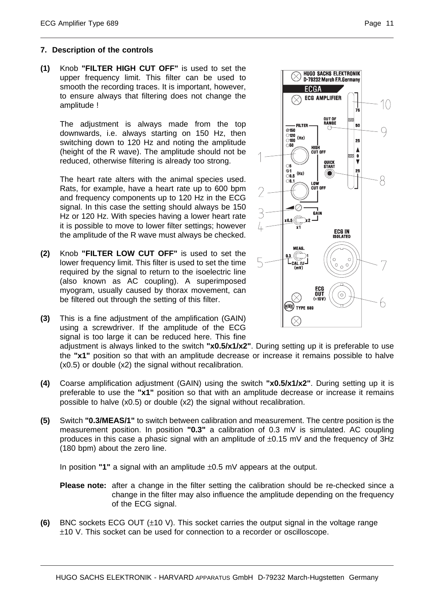#### **7. Description of the controls**

**(1)** Knob **"FILTER HIGH CUT OFF"** is used to set the upper frequency limit. This filter can be used to smooth the recording traces. It is important, however, to ensure always that filtering does not change the amplitude !

The adjustment is always made from the top downwards, i.e. always starting on 150 Hz, then switching down to 120 Hz and noting the amplitude (height of the R wave). The amplitude should not be reduced, otherwise filtering is already too strong.

The heart rate alters with the animal species used. Rats, for example, have a heart rate up to 600 bpm and frequency components up to 120 Hz in the ECG signal. In this case the setting should always be 150 Hz or 120 Hz. With species having a lower heart rate it is possible to move to lower filter settings; however the amplitude of the R wave must always be checked.

- **(2)** Knob **"FILTER LOW CUT OFF"** is used to set the lower frequency limit. This filter is used to set the time required by the signal to return to the isoelectric line (also known as AC coupling). A superimposed myogram, usually caused by thorax movement, can be filtered out through the setting of this filter.
- **(3)** This is a fine adjustment of the amplification (GAIN) using a screwdriver. If the amplitude of the ECG signal is too large it can be reduced here. This fine



SACHS ELEKT h FR.

PLIFIER

UT OI

adjustment is always linked to the switch **"x0.5/x1/x2"**. During setting up it is preferable to use the **"x1"** position so that with an amplitude decrease or increase it remains possible to halve (x0.5) or double (x2) the signal without recalibration.

- **(4)** Coarse amplification adjustment (GAIN) using the switch **"x0.5/x1/x2"**. During setting up it is preferable to use the **"x1"** position so that with an amplitude decrease or increase it remains possible to halve (x0.5) or double (x2) the signal without recalibration.
- **(5)** Switch **"0.3/MEAS/1"** to switch between calibration and measurement. The centre position is the measurement position. In position **"0.3"** a calibration of 0.3 mV is simulated. AC coupling produces in this case a phasic signal with an amplitude of  $\pm 0.15$  mV and the frequency of 3Hz (180 bpm) about the zero line.

In position **"1"** a signal with an amplitude ±0.5 mV appears at the output.

- **Please note:** after a change in the filter setting the calibration should be re-checked since a change in the filter may also influence the amplitude depending on the frequency of the ECG signal.
- **(6)** BNC sockets ECG OUT (±10 V). This socket carries the output signal in the voltage range ±10 V. This socket can be used for connection to a recorder or oscilloscope.

10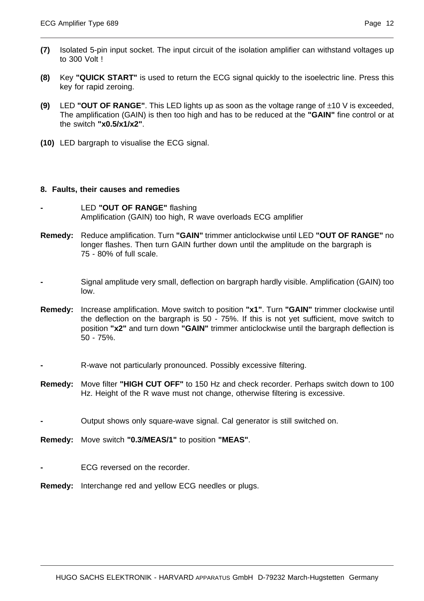- **(7)** Isolated 5-pin input socket. The input circuit of the isolation amplifier can withstand voltages up to 300 Volt !
- **(8)** Key **"QUICK START"** is used to return the ECG signal quickly to the isoelectric line. Press this key for rapid zeroing.
- **(9)** LED **"OUT OF RANGE"**. This LED lights up as soon as the voltage range of ±10 V is exceeded, The amplification (GAIN) is then too high and has to be reduced at the **"GAIN"** fine control or at the switch **"x0.5/x1/x2"**.
- **(10)** LED bargraph to visualise the ECG signal.

#### **8. Faults, their causes and remedies**

- **-** LED **"OUT OF RANGE"** flashing Amplification (GAIN) too high, R wave overloads ECG amplifier
- **Remedy:** Reduce amplification. Turn **"GAIN"** trimmer anticlockwise until LED **"OUT OF RANGE"** no longer flashes. Then turn GAIN further down until the amplitude on the bargraph is 75 - 80% of full scale.
- **-** Signal amplitude very small, deflection on bargraph hardly visible. Amplification (GAIN) too low.
- **Remedy:** Increase amplification. Move switch to position **"x1"**. Turn **"GAIN"** trimmer clockwise until the deflection on the bargraph is 50 - 75%. If this is not yet sufficient, move switch to position **"x2"** and turn down **"GAIN"** trimmer anticlockwise until the bargraph deflection is 50 - 75%.
- **-** R-wave not particularly pronounced. Possibly excessive filtering.
- **Remedy:** Move filter **"HIGH CUT OFF"** to 150 Hz and check recorder. Perhaps switch down to 100 Hz. Height of the R wave must not change, otherwise filtering is excessive.
- **-** Output shows only square-wave signal. Cal generator is still switched on.
- **Remedy:** Move switch **"0.3/MEAS/1"** to position **"MEAS"**.
- **-** ECG reversed on the recorder.
- **Remedy:** Interchange red and yellow ECG needles or plugs.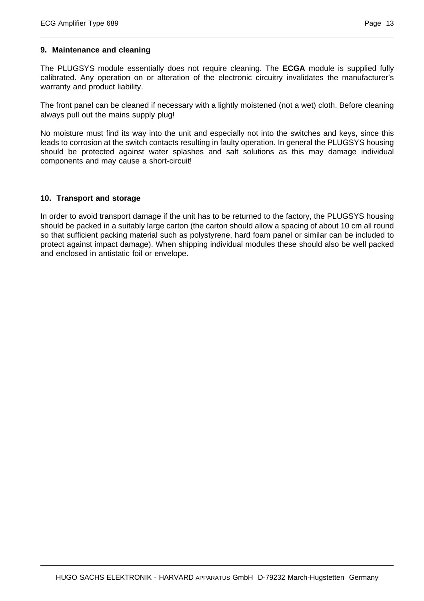#### **9. Maintenance and cleaning**

The PLUGSYS module essentially does not require cleaning. The **ECGA** module is supplied fully calibrated. Any operation on or alteration of the electronic circuitry invalidates the manufacturer's warranty and product liability.

The front panel can be cleaned if necessary with a lightly moistened (not a wet) cloth. Before cleaning always pull out the mains supply plug!

No moisture must find its way into the unit and especially not into the switches and keys, since this leads to corrosion at the switch contacts resulting in faulty operation. In general the PLUGSYS housing should be protected against water splashes and salt solutions as this may damage individual components and may cause a short-circuit!

#### **10. Transport and storage**

In order to avoid transport damage if the unit has to be returned to the factory, the PLUGSYS housing should be packed in a suitably large carton (the carton should allow a spacing of about 10 cm all round so that sufficient packing material such as polystyrene, hard foam panel or similar can be included to protect against impact damage). When shipping individual modules these should also be well packed and enclosed in antistatic foil or envelope.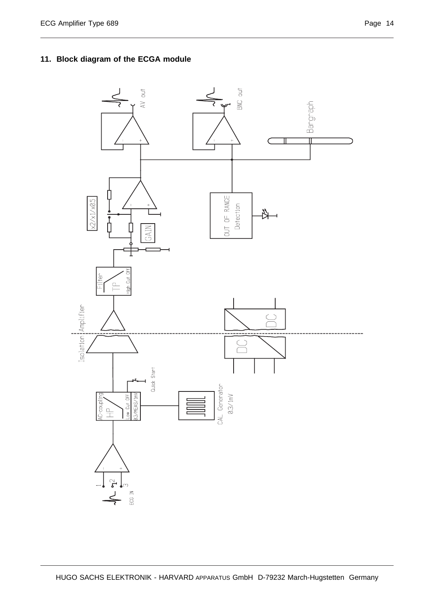### **11. Block diagram of the ECGA module**

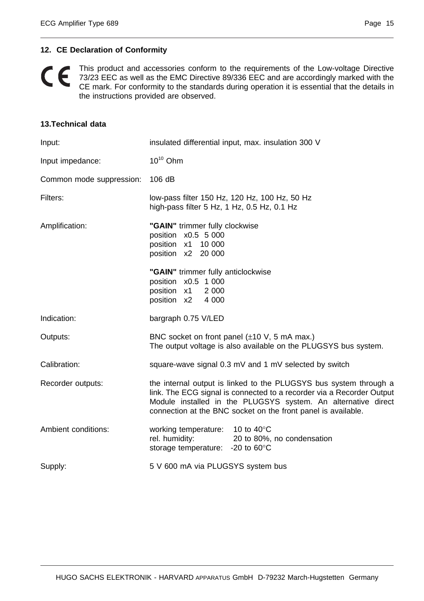#### **12. CE Declaration of Conformity**

This product and accessories conform to the requirements of the Low-voltage Directive  $\epsilon$ 73/23 EEC as well as the EMC Directive 89/336 EEC and are accordingly marked with the CE mark. For conformity to the standards during operation it is essential that the details in the instructions provided are observed.

#### **13.Technical data**

| Input:                   | insulated differential input, max. insulation 300 V                                                                                                                                                                                                                          |  |
|--------------------------|------------------------------------------------------------------------------------------------------------------------------------------------------------------------------------------------------------------------------------------------------------------------------|--|
| Input impedance:         | $10^{10}$ Ohm                                                                                                                                                                                                                                                                |  |
| Common mode suppression: | 106 dB                                                                                                                                                                                                                                                                       |  |
| Filters:                 | low-pass filter 150 Hz, 120 Hz, 100 Hz, 50 Hz<br>high-pass filter 5 Hz, 1 Hz, 0.5 Hz, 0.1 Hz                                                                                                                                                                                 |  |
| Amplification:           | "GAIN" trimmer fully clockwise<br>position x0.5 5 000<br>position x1 10 000<br>position x2 20 000<br>"GAIN" trimmer fully anticlockwise<br>position x0.5 1 000<br>position x1<br>2 0 0 0                                                                                     |  |
|                          | position x2<br>4 0 0 0                                                                                                                                                                                                                                                       |  |
| Indication:              | bargraph 0.75 V/LED                                                                                                                                                                                                                                                          |  |
| Outputs:                 | BNC socket on front panel $(\pm 10 \text{ V}, 5 \text{ mA max.})$<br>The output voltage is also available on the PLUGSYS bus system.                                                                                                                                         |  |
| Calibration:             | square-wave signal 0.3 mV and 1 mV selected by switch                                                                                                                                                                                                                        |  |
| Recorder outputs:        | the internal output is linked to the PLUGSYS bus system through a<br>link. The ECG signal is connected to a recorder via a Recorder Output<br>Module installed in the PLUGSYS system. An alternative direct<br>connection at the BNC socket on the front panel is available. |  |
| Ambient conditions:      | working temperature: 10 to 40°C<br>rel. humidity:<br>20 to 80%, no condensation<br>storage temperature: $-20$ to 60 $\degree$ C                                                                                                                                              |  |
| Supply:                  | 5 V 600 mA via PLUGSYS system bus                                                                                                                                                                                                                                            |  |